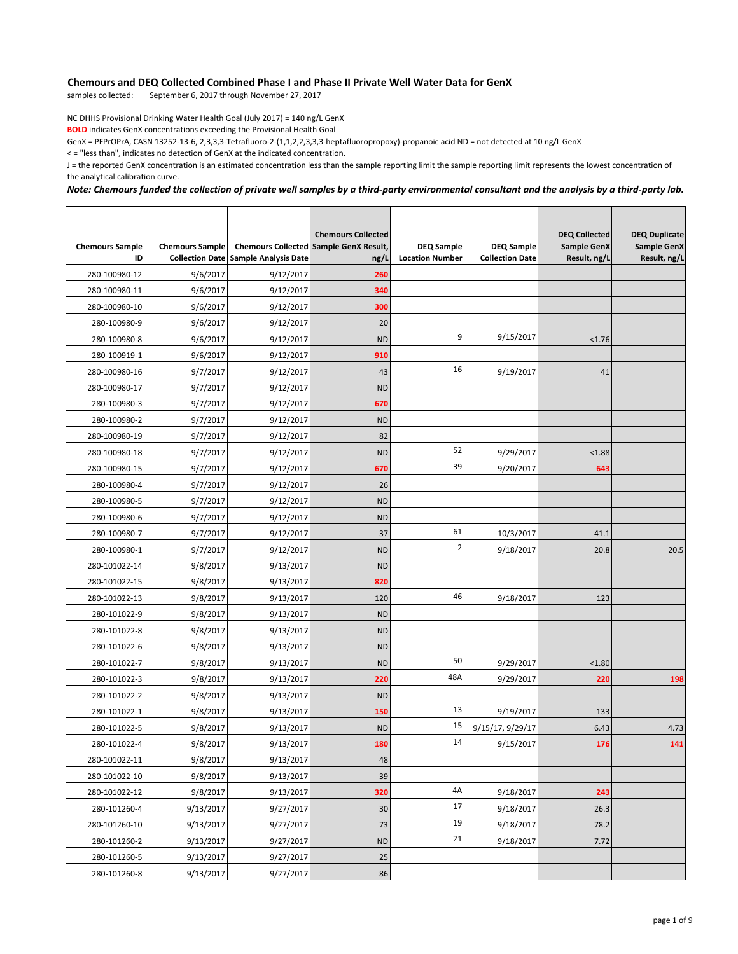## **Chemours and DEQ Collected Combined Phase I and Phase II Private Well Water Data for GenX**<br>samples collected: September 6, 2017 through November 27, 2017

September 6, 2017 through November 27, 2017

NC DHHS Provisional Drinking Water Health Goal (July 2017) = 140 ng/L GenX

**BOLD** indicates GenX concentrations exceeding the Provisional Health Goal

GenX = PFPrOPrA, CASN 13252-13-6, 2,3,3,3-Tetrafluoro-2-(1,1,2,2,3,3,3-heptafluoropropoxy)-propanoic acid ND = not detected at 10 ng/L GenX

< = "less than", indicates no detection of GenX at the indicated concentration.

J = the reported GenX concentration is an estimated concentration less than the sample reporting limit the sample reporting limit represents the lowest concentration of the analytical calibration curve.

## *Note: Chemours funded the collection of private well samples by a third-party environmental consultant and the analysis by a third-party lab.*

| <b>Chemours Sample</b><br>ID | <b>Chemours Sample</b> | <b>Collection Date Sample Analysis Date</b> | <b>Chemours Collected</b><br><b>Chemours Collected Sample GenX Result,</b><br>ng/L | <b>DEQ Sample</b><br><b>Location Number</b> | <b>DEQ Sample</b><br><b>Collection Date</b> | <b>DEQ Collected</b><br>Sample GenX<br>Result, ng/L | <b>DEQ Duplicate</b><br><b>Sample GenX</b><br>Result, ng/L |
|------------------------------|------------------------|---------------------------------------------|------------------------------------------------------------------------------------|---------------------------------------------|---------------------------------------------|-----------------------------------------------------|------------------------------------------------------------|
| 280-100980-12                | 9/6/2017               | 9/12/2017                                   | 260                                                                                |                                             |                                             |                                                     |                                                            |
| 280-100980-11                | 9/6/2017               | 9/12/2017                                   | 340                                                                                |                                             |                                             |                                                     |                                                            |
| 280-100980-10                | 9/6/2017               | 9/12/2017                                   | 300                                                                                |                                             |                                             |                                                     |                                                            |
| 280-100980-9                 | 9/6/2017               | 9/12/2017                                   | 20                                                                                 |                                             |                                             |                                                     |                                                            |
| 280-100980-8                 | 9/6/2017               | 9/12/2017                                   | <b>ND</b>                                                                          | 9                                           | 9/15/2017                                   | < 1.76                                              |                                                            |
| 280-100919-1                 | 9/6/2017               | 9/12/2017                                   | 910                                                                                |                                             |                                             |                                                     |                                                            |
| 280-100980-16                | 9/7/2017               | 9/12/2017                                   | 43                                                                                 | 16                                          | 9/19/2017                                   | 41                                                  |                                                            |
| 280-100980-17                | 9/7/2017               | 9/12/2017                                   | <b>ND</b>                                                                          |                                             |                                             |                                                     |                                                            |
| 280-100980-3                 | 9/7/2017               | 9/12/2017                                   | 670                                                                                |                                             |                                             |                                                     |                                                            |
| 280-100980-2                 | 9/7/2017               | 9/12/2017                                   | <b>ND</b>                                                                          |                                             |                                             |                                                     |                                                            |
| 280-100980-19                | 9/7/2017               | 9/12/2017                                   | 82                                                                                 |                                             |                                             |                                                     |                                                            |
| 280-100980-18                | 9/7/2017               | 9/12/2017                                   | <b>ND</b>                                                                          | 52                                          | 9/29/2017                                   | < 1.88                                              |                                                            |
| 280-100980-15                | 9/7/2017               | 9/12/2017                                   | 670                                                                                | 39                                          | 9/20/2017                                   | 643                                                 |                                                            |
| 280-100980-4                 | 9/7/2017               | 9/12/2017                                   | 26                                                                                 |                                             |                                             |                                                     |                                                            |
| 280-100980-5                 | 9/7/2017               | 9/12/2017                                   | <b>ND</b>                                                                          |                                             |                                             |                                                     |                                                            |
| 280-100980-6                 | 9/7/2017               | 9/12/2017                                   | <b>ND</b>                                                                          |                                             |                                             |                                                     |                                                            |
| 280-100980-7                 | 9/7/2017               | 9/12/2017                                   | 37                                                                                 | 61                                          | 10/3/2017                                   | 41.1                                                |                                                            |
| 280-100980-1                 | 9/7/2017               | 9/12/2017                                   | <b>ND</b>                                                                          | $\overline{\mathbf{c}}$                     | 9/18/2017                                   | 20.8                                                | 20.5                                                       |
| 280-101022-14                | 9/8/2017               | 9/13/2017                                   | <b>ND</b>                                                                          |                                             |                                             |                                                     |                                                            |
| 280-101022-15                | 9/8/2017               | 9/13/2017                                   | 820                                                                                |                                             |                                             |                                                     |                                                            |
| 280-101022-13                | 9/8/2017               | 9/13/2017                                   | 120                                                                                | 46                                          | 9/18/2017                                   | 123                                                 |                                                            |
| 280-101022-9                 | 9/8/2017               | 9/13/2017                                   | <b>ND</b>                                                                          |                                             |                                             |                                                     |                                                            |
| 280-101022-8                 | 9/8/2017               | 9/13/2017                                   | <b>ND</b>                                                                          |                                             |                                             |                                                     |                                                            |
| 280-101022-6                 | 9/8/2017               | 9/13/2017                                   | <b>ND</b>                                                                          |                                             |                                             |                                                     |                                                            |
| 280-101022-7                 | 9/8/2017               | 9/13/2017                                   | <b>ND</b>                                                                          | 50                                          | 9/29/2017                                   | < 1.80                                              |                                                            |
| 280-101022-3                 | 9/8/2017               | 9/13/2017                                   | 220                                                                                | 48A                                         | 9/29/2017                                   | 220                                                 | 198                                                        |
| 280-101022-2                 | 9/8/2017               | 9/13/2017                                   | <b>ND</b>                                                                          |                                             |                                             |                                                     |                                                            |
| 280-101022-1                 | 9/8/2017               | 9/13/2017                                   | 150                                                                                | 13                                          | 9/19/2017                                   | 133                                                 |                                                            |
| 280-101022-5                 | 9/8/2017               | 9/13/2017                                   | <b>ND</b>                                                                          | 15                                          | 9/15/17, 9/29/17                            | 6.43                                                | 4.73                                                       |
| 280-101022-4                 | 9/8/2017               | 9/13/2017                                   | 180                                                                                | 14                                          | 9/15/2017                                   | 176                                                 | 141                                                        |
| 280-101022-11                | 9/8/2017               | 9/13/2017                                   | 48                                                                                 |                                             |                                             |                                                     |                                                            |
| 280-101022-10                | 9/8/2017               | 9/13/2017                                   | 39                                                                                 |                                             |                                             |                                                     |                                                            |
| 280-101022-12                | 9/8/2017               | 9/13/2017                                   | 320                                                                                | 4A                                          | 9/18/2017                                   | 243                                                 |                                                            |
| 280-101260-4                 | 9/13/2017              | 9/27/2017                                   | 30                                                                                 | 17                                          | 9/18/2017                                   | 26.3                                                |                                                            |
| 280-101260-10                | 9/13/2017              | 9/27/2017                                   | 73                                                                                 | 19                                          | 9/18/2017                                   | 78.2                                                |                                                            |
| 280-101260-2                 | 9/13/2017              | 9/27/2017                                   | <b>ND</b>                                                                          | 21                                          | 9/18/2017                                   | 7.72                                                |                                                            |
| 280-101260-5                 | 9/13/2017              | 9/27/2017                                   | 25                                                                                 |                                             |                                             |                                                     |                                                            |
| 280-101260-8                 | 9/13/2017              | 9/27/2017                                   | 86                                                                                 |                                             |                                             |                                                     |                                                            |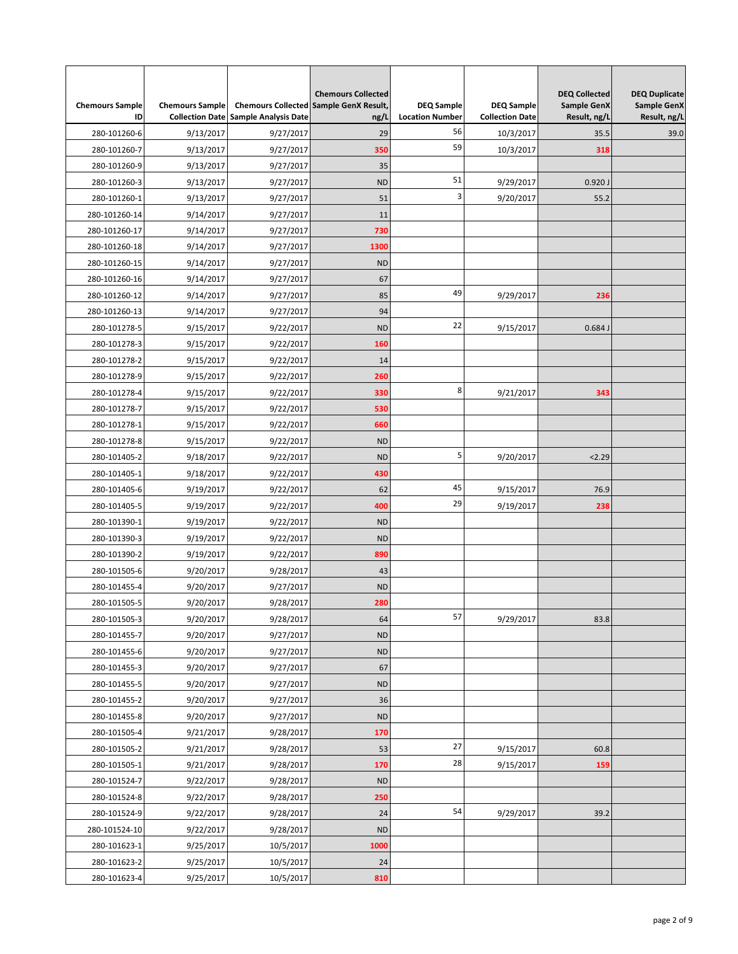| <b>Chemours Sample</b> | <b>Chemours Sample</b> |                             | <b>Chemours Collected</b><br>Chemours Collected Sample GenX Result, | <b>DEQ Sample</b>      | <b>DEQ Sample</b>      | <b>DEQ Collected</b><br><b>Sample GenX</b> | <b>DEQ Duplicate</b><br><b>Sample GenX</b> |
|------------------------|------------------------|-----------------------------|---------------------------------------------------------------------|------------------------|------------------------|--------------------------------------------|--------------------------------------------|
| ID                     | <b>Collection Date</b> | <b>Sample Analysis Date</b> | ng/L                                                                | <b>Location Number</b> | <b>Collection Date</b> | Result, ng/L                               | Result, ng/L                               |
| 280-101260-6           | 9/13/2017              | 9/27/2017                   | 29                                                                  | 56                     | 10/3/2017              | 35.5                                       | 39.0                                       |
| 280-101260-7           | 9/13/2017              | 9/27/2017                   | 350                                                                 | 59                     | 10/3/2017              | 318                                        |                                            |
| 280-101260-9           | 9/13/2017              | 9/27/2017                   | 35                                                                  |                        |                        |                                            |                                            |
| 280-101260-3           | 9/13/2017              | 9/27/2017                   | <b>ND</b>                                                           | 51                     | 9/29/2017              | 0.920J                                     |                                            |
| 280-101260-1           | 9/13/2017              | 9/27/2017                   | 51                                                                  | 3                      | 9/20/2017              | 55.2                                       |                                            |
| 280-101260-14          | 9/14/2017              | 9/27/2017                   | 11                                                                  |                        |                        |                                            |                                            |
| 280-101260-17          | 9/14/2017              | 9/27/2017                   | 730                                                                 |                        |                        |                                            |                                            |
| 280-101260-18          | 9/14/2017              | 9/27/2017                   | 1300                                                                |                        |                        |                                            |                                            |
| 280-101260-15          | 9/14/2017              | 9/27/2017                   | <b>ND</b>                                                           |                        |                        |                                            |                                            |
| 280-101260-16          | 9/14/2017              | 9/27/2017                   | 67                                                                  |                        |                        |                                            |                                            |
| 280-101260-12          | 9/14/2017              | 9/27/2017                   | 85                                                                  | 49                     | 9/29/2017              | 236                                        |                                            |
| 280-101260-13          | 9/14/2017              | 9/27/2017                   | 94                                                                  |                        |                        |                                            |                                            |
| 280-101278-5           | 9/15/2017              | 9/22/2017                   | <b>ND</b>                                                           | 22                     | 9/15/2017              | 0.684J                                     |                                            |
| 280-101278-3           | 9/15/2017              | 9/22/2017                   | 160                                                                 |                        |                        |                                            |                                            |
| 280-101278-2           | 9/15/2017              | 9/22/2017                   | 14                                                                  |                        |                        |                                            |                                            |
| 280-101278-9           | 9/15/2017              | 9/22/2017                   | 260                                                                 |                        |                        |                                            |                                            |
| 280-101278-4           | 9/15/2017              | 9/22/2017                   | 330                                                                 | 8                      | 9/21/2017              | 343                                        |                                            |
| 280-101278-7           | 9/15/2017              | 9/22/2017                   | 530                                                                 |                        |                        |                                            |                                            |
| 280-101278-1           | 9/15/2017              | 9/22/2017                   | 660                                                                 |                        |                        |                                            |                                            |
| 280-101278-8           | 9/15/2017              | 9/22/2017                   | <b>ND</b>                                                           |                        |                        |                                            |                                            |
| 280-101405-2           | 9/18/2017              | 9/22/2017                   | <b>ND</b>                                                           | 5                      | 9/20/2017              | 2.29                                       |                                            |
| 280-101405-1           | 9/18/2017              | 9/22/2017                   | 430                                                                 |                        |                        |                                            |                                            |
| 280-101405-6           | 9/19/2017              | 9/22/2017                   | 62                                                                  | 45                     | 9/15/2017              | 76.9                                       |                                            |
| 280-101405-5           | 9/19/2017              | 9/22/2017                   | 400                                                                 | 29                     | 9/19/2017              | 238                                        |                                            |
| 280-101390-1           | 9/19/2017              | 9/22/2017                   | <b>ND</b>                                                           |                        |                        |                                            |                                            |
| 280-101390-3           | 9/19/2017              | 9/22/2017                   | <b>ND</b>                                                           |                        |                        |                                            |                                            |
| 280-101390-2           | 9/19/2017              | 9/22/2017                   | 890                                                                 |                        |                        |                                            |                                            |
| 280-101505-6           | 9/20/2017              | 9/28/2017                   | 43                                                                  |                        |                        |                                            |                                            |
| 280-101455-4           | 9/20/2017              | 9/27/2017                   | <b>ND</b>                                                           |                        |                        |                                            |                                            |
| 280-101505-5           | 9/20/2017              | 9/28/2017                   | 280                                                                 |                        |                        |                                            |                                            |
| 280-101505-3           | 9/20/2017              | 9/28/2017                   | 64                                                                  | 57                     | 9/29/2017              | 83.8                                       |                                            |
| 280-101455-7           | 9/20/2017              | 9/27/2017                   | <b>ND</b>                                                           |                        |                        |                                            |                                            |
| 280-101455-6           | 9/20/2017              | 9/27/2017                   | <b>ND</b>                                                           |                        |                        |                                            |                                            |
| 280-101455-3           | 9/20/2017              | 9/27/2017                   | 67                                                                  |                        |                        |                                            |                                            |
| 280-101455-5           | 9/20/2017              | 9/27/2017                   | <b>ND</b>                                                           |                        |                        |                                            |                                            |
| 280-101455-2           | 9/20/2017              | 9/27/2017                   | 36                                                                  |                        |                        |                                            |                                            |
| 280-101455-8           | 9/20/2017              | 9/27/2017                   | <b>ND</b>                                                           |                        |                        |                                            |                                            |
| 280-101505-4           | 9/21/2017              | 9/28/2017                   | 170                                                                 |                        |                        |                                            |                                            |
| 280-101505-2           |                        |                             | 53                                                                  | 27                     |                        | 60.8                                       |                                            |
|                        | 9/21/2017              | 9/28/2017                   | 170                                                                 | 28                     | 9/15/2017              |                                            |                                            |
| 280-101505-1           | 9/21/2017              | 9/28/2017                   |                                                                     |                        | 9/15/2017              | 159                                        |                                            |
| 280-101524-7           | 9/22/2017              | 9/28/2017                   | <b>ND</b>                                                           |                        |                        |                                            |                                            |
| 280-101524-8           | 9/22/2017              | 9/28/2017                   | 250                                                                 | 54                     |                        |                                            |                                            |
| 280-101524-9           | 9/22/2017              | 9/28/2017                   | 24                                                                  |                        | 9/29/2017              | 39.2                                       |                                            |
| 280-101524-10          | 9/22/2017              | 9/28/2017                   | <b>ND</b>                                                           |                        |                        |                                            |                                            |
| 280-101623-1           | 9/25/2017              | 10/5/2017                   | 1000                                                                |                        |                        |                                            |                                            |
| 280-101623-2           | 9/25/2017              | 10/5/2017                   | 24                                                                  |                        |                        |                                            |                                            |
| 280-101623-4           | 9/25/2017              | 10/5/2017                   | 810                                                                 |                        |                        |                                            |                                            |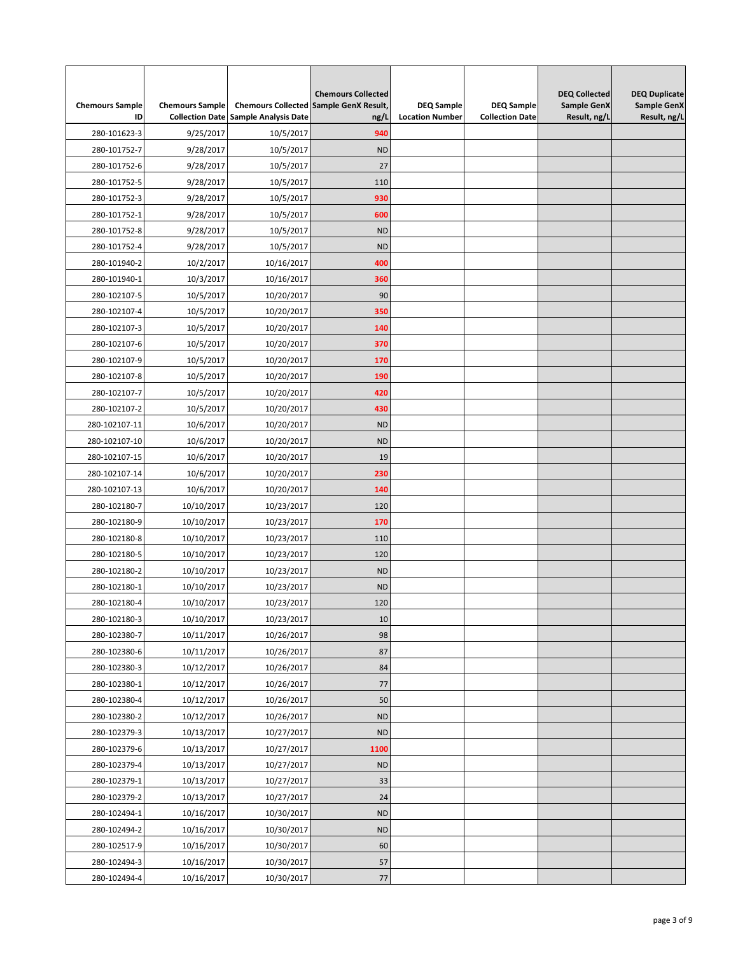| <b>Chemours Sample</b><br>ID | <b>Chemours Sample</b> | <b>Collection Date Sample Analysis Date</b> | <b>Chemours Collected</b><br><b>Chemours Collected Sample GenX Result,</b><br>ng/L | <b>DEQ Sample</b><br><b>Location Number</b> | <b>DEQ Sample</b><br><b>Collection Date</b> | <b>DEQ Collected</b><br><b>Sample GenX</b><br>Result, ng/L | <b>DEQ Duplicate</b><br><b>Sample GenX</b><br>Result, ng/L |
|------------------------------|------------------------|---------------------------------------------|------------------------------------------------------------------------------------|---------------------------------------------|---------------------------------------------|------------------------------------------------------------|------------------------------------------------------------|
| 280-101623-3                 | 9/25/2017              | 10/5/2017                                   | 940                                                                                |                                             |                                             |                                                            |                                                            |
| 280-101752-7                 | 9/28/2017              | 10/5/2017                                   | <b>ND</b>                                                                          |                                             |                                             |                                                            |                                                            |
|                              |                        |                                             | 27                                                                                 |                                             |                                             |                                                            |                                                            |
| 280-101752-6                 | 9/28/2017              | 10/5/2017                                   |                                                                                    |                                             |                                             |                                                            |                                                            |
| 280-101752-5                 | 9/28/2017              | 10/5/2017<br>10/5/2017                      | 110                                                                                |                                             |                                             |                                                            |                                                            |
| 280-101752-3                 | 9/28/2017              |                                             | 930                                                                                |                                             |                                             |                                                            |                                                            |
| 280-101752-1                 | 9/28/2017              | 10/5/2017                                   | 600                                                                                |                                             |                                             |                                                            |                                                            |
| 280-101752-8                 | 9/28/2017              | 10/5/2017                                   | <b>ND</b>                                                                          |                                             |                                             |                                                            |                                                            |
| 280-101752-4                 | 9/28/2017              | 10/5/2017                                   | <b>ND</b>                                                                          |                                             |                                             |                                                            |                                                            |
| 280-101940-2                 | 10/2/2017              | 10/16/2017                                  | 400                                                                                |                                             |                                             |                                                            |                                                            |
| 280-101940-1                 | 10/3/2017              | 10/16/2017                                  | 360                                                                                |                                             |                                             |                                                            |                                                            |
| 280-102107-5                 | 10/5/2017              | 10/20/2017                                  | 90                                                                                 |                                             |                                             |                                                            |                                                            |
| 280-102107-4                 | 10/5/2017              | 10/20/2017                                  | 350                                                                                |                                             |                                             |                                                            |                                                            |
| 280-102107-3                 | 10/5/2017              | 10/20/2017                                  | 140                                                                                |                                             |                                             |                                                            |                                                            |
| 280-102107-6                 | 10/5/2017              | 10/20/2017                                  | 370                                                                                |                                             |                                             |                                                            |                                                            |
| 280-102107-9                 | 10/5/2017              | 10/20/2017                                  | 170                                                                                |                                             |                                             |                                                            |                                                            |
| 280-102107-8                 | 10/5/2017              | 10/20/2017                                  | 190                                                                                |                                             |                                             |                                                            |                                                            |
| 280-102107-7                 | 10/5/2017              | 10/20/2017                                  | 420                                                                                |                                             |                                             |                                                            |                                                            |
| 280-102107-2                 | 10/5/2017              | 10/20/2017                                  | 430                                                                                |                                             |                                             |                                                            |                                                            |
| 280-102107-11                | 10/6/2017              | 10/20/2017                                  | <b>ND</b>                                                                          |                                             |                                             |                                                            |                                                            |
| 280-102107-10                | 10/6/2017              | 10/20/2017                                  | <b>ND</b>                                                                          |                                             |                                             |                                                            |                                                            |
| 280-102107-15                | 10/6/2017              | 10/20/2017                                  | 19                                                                                 |                                             |                                             |                                                            |                                                            |
| 280-102107-14                | 10/6/2017              | 10/20/2017                                  | 230                                                                                |                                             |                                             |                                                            |                                                            |
| 280-102107-13                | 10/6/2017              | 10/20/2017                                  | 140                                                                                |                                             |                                             |                                                            |                                                            |
| 280-102180-7                 | 10/10/2017             | 10/23/2017                                  | 120                                                                                |                                             |                                             |                                                            |                                                            |
| 280-102180-9                 | 10/10/2017             | 10/23/2017                                  | 170                                                                                |                                             |                                             |                                                            |                                                            |
| 280-102180-8                 | 10/10/2017             | 10/23/2017                                  | 110                                                                                |                                             |                                             |                                                            |                                                            |
| 280-102180-5                 | 10/10/2017             | 10/23/2017                                  | 120                                                                                |                                             |                                             |                                                            |                                                            |
| 280-102180-2                 | 10/10/2017             | 10/23/2017                                  | <b>ND</b>                                                                          |                                             |                                             |                                                            |                                                            |
| 280-102180-1                 | 10/10/2017             | 10/23/2017                                  | <b>ND</b>                                                                          |                                             |                                             |                                                            |                                                            |
| 280-102180-4                 | 10/10/2017             | 10/23/2017                                  | 120                                                                                |                                             |                                             |                                                            |                                                            |
| 280-102180-3                 | 10/10/2017             | 10/23/2017                                  | 10                                                                                 |                                             |                                             |                                                            |                                                            |
| 280-102380-7                 | 10/11/2017             | 10/26/2017                                  | 98                                                                                 |                                             |                                             |                                                            |                                                            |
| 280-102380-6                 | 10/11/2017             | 10/26/2017                                  | 87                                                                                 |                                             |                                             |                                                            |                                                            |
| 280-102380-3                 | 10/12/2017             | 10/26/2017                                  | 84                                                                                 |                                             |                                             |                                                            |                                                            |
| 280-102380-1                 | 10/12/2017             | 10/26/2017                                  | 77                                                                                 |                                             |                                             |                                                            |                                                            |
| 280-102380-4                 | 10/12/2017             | 10/26/2017                                  | 50                                                                                 |                                             |                                             |                                                            |                                                            |
| 280-102380-2                 | 10/12/2017             | 10/26/2017                                  | <b>ND</b>                                                                          |                                             |                                             |                                                            |                                                            |
| 280-102379-3                 | 10/13/2017             | 10/27/2017                                  | <b>ND</b>                                                                          |                                             |                                             |                                                            |                                                            |
| 280-102379-6                 | 10/13/2017             | 10/27/2017                                  | 1100                                                                               |                                             |                                             |                                                            |                                                            |
| 280-102379-4                 | 10/13/2017             | 10/27/2017                                  | <b>ND</b>                                                                          |                                             |                                             |                                                            |                                                            |
| 280-102379-1                 | 10/13/2017             | 10/27/2017                                  | 33                                                                                 |                                             |                                             |                                                            |                                                            |
| 280-102379-2                 | 10/13/2017             | 10/27/2017                                  | 24                                                                                 |                                             |                                             |                                                            |                                                            |
| 280-102494-1                 | 10/16/2017             | 10/30/2017                                  | <b>ND</b>                                                                          |                                             |                                             |                                                            |                                                            |
| 280-102494-2                 | 10/16/2017             | 10/30/2017                                  | <b>ND</b>                                                                          |                                             |                                             |                                                            |                                                            |
| 280-102517-9                 | 10/16/2017             | 10/30/2017                                  | 60                                                                                 |                                             |                                             |                                                            |                                                            |
| 280-102494-3                 | 10/16/2017             | 10/30/2017                                  | 57                                                                                 |                                             |                                             |                                                            |                                                            |
| 280-102494-4                 | 10/16/2017             | 10/30/2017                                  | $77\,$                                                                             |                                             |                                             |                                                            |                                                            |
|                              |                        |                                             |                                                                                    |                                             |                                             |                                                            |                                                            |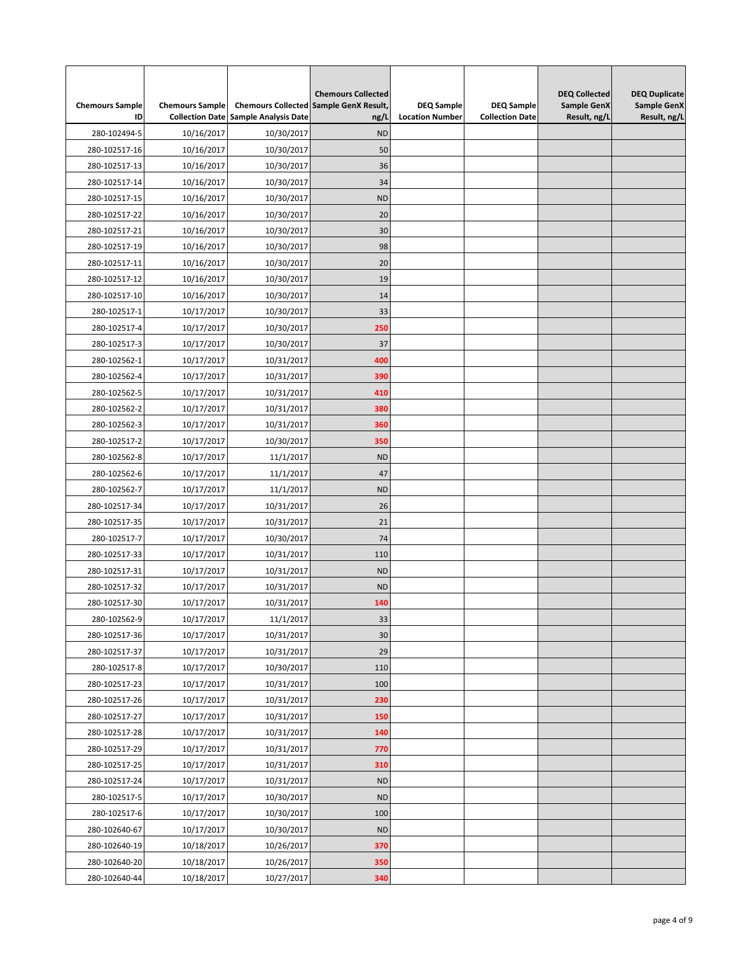| <b>Chemours Sample</b><br>ID | <b>Chemours Sample</b><br><b>Collection Date</b> | <b>Sample Analysis Date</b> | <b>Chemours Collected</b><br>Chemours Collected Sample GenX Result,<br>ng/L | <b>DEQ Sample</b><br><b>Location Number</b> | <b>DEQ Sample</b><br><b>Collection Date</b> | <b>DEQ Collected</b><br>Sample GenX<br>Result, ng/L | <b>DEQ Duplicate</b><br><b>Sample GenX</b><br>Result, ng/L |
|------------------------------|--------------------------------------------------|-----------------------------|-----------------------------------------------------------------------------|---------------------------------------------|---------------------------------------------|-----------------------------------------------------|------------------------------------------------------------|
| 280-102494-5                 | 10/16/2017                                       | 10/30/2017                  | <b>ND</b>                                                                   |                                             |                                             |                                                     |                                                            |
| 280-102517-16                | 10/16/2017                                       | 10/30/2017                  | 50                                                                          |                                             |                                             |                                                     |                                                            |
| 280-102517-13                | 10/16/2017                                       | 10/30/2017                  | 36                                                                          |                                             |                                             |                                                     |                                                            |
| 280-102517-14                | 10/16/2017                                       | 10/30/2017                  | 34                                                                          |                                             |                                             |                                                     |                                                            |
| 280-102517-15                | 10/16/2017                                       | 10/30/2017                  | <b>ND</b>                                                                   |                                             |                                             |                                                     |                                                            |
| 280-102517-22                | 10/16/2017                                       | 10/30/2017                  | 20                                                                          |                                             |                                             |                                                     |                                                            |
| 280-102517-21                | 10/16/2017                                       | 10/30/2017                  | 30                                                                          |                                             |                                             |                                                     |                                                            |
| 280-102517-19                | 10/16/2017                                       | 10/30/2017                  | 98                                                                          |                                             |                                             |                                                     |                                                            |
| 280-102517-11                | 10/16/2017                                       | 10/30/2017                  | 20                                                                          |                                             |                                             |                                                     |                                                            |
| 280-102517-12                | 10/16/2017                                       | 10/30/2017                  | 19                                                                          |                                             |                                             |                                                     |                                                            |
| 280-102517-10                | 10/16/2017                                       | 10/30/2017                  | 14                                                                          |                                             |                                             |                                                     |                                                            |
| 280-102517-1                 | 10/17/2017                                       | 10/30/2017                  | 33                                                                          |                                             |                                             |                                                     |                                                            |
| 280-102517-4                 | 10/17/2017                                       | 10/30/2017                  | 250                                                                         |                                             |                                             |                                                     |                                                            |
| 280-102517-3                 | 10/17/2017                                       | 10/30/2017                  | 37                                                                          |                                             |                                             |                                                     |                                                            |
| 280-102562-1                 | 10/17/2017                                       | 10/31/2017                  | 400                                                                         |                                             |                                             |                                                     |                                                            |
| 280-102562-4                 | 10/17/2017                                       | 10/31/2017                  | 390                                                                         |                                             |                                             |                                                     |                                                            |
| 280-102562-5                 | 10/17/2017                                       | 10/31/2017                  | 410                                                                         |                                             |                                             |                                                     |                                                            |
| 280-102562-2                 |                                                  |                             | 380                                                                         |                                             |                                             |                                                     |                                                            |
|                              | 10/17/2017                                       | 10/31/2017                  | 360                                                                         |                                             |                                             |                                                     |                                                            |
| 280-102562-3                 | 10/17/2017                                       | 10/31/2017                  | 350                                                                         |                                             |                                             |                                                     |                                                            |
| 280-102517-2                 | 10/17/2017                                       | 10/30/2017                  |                                                                             |                                             |                                             |                                                     |                                                            |
| 280-102562-8<br>280-102562-6 | 10/17/2017                                       | 11/1/2017                   | <b>ND</b><br>47                                                             |                                             |                                             |                                                     |                                                            |
|                              | 10/17/2017                                       | 11/1/2017                   | <b>ND</b>                                                                   |                                             |                                             |                                                     |                                                            |
| 280-102562-7                 | 10/17/2017                                       | 11/1/2017                   |                                                                             |                                             |                                             |                                                     |                                                            |
| 280-102517-34                | 10/17/2017                                       | 10/31/2017                  | 26                                                                          |                                             |                                             |                                                     |                                                            |
| 280-102517-35                | 10/17/2017                                       | 10/31/2017                  | 21                                                                          |                                             |                                             |                                                     |                                                            |
| 280-102517-7                 | 10/17/2017                                       | 10/30/2017                  | 74                                                                          |                                             |                                             |                                                     |                                                            |
| 280-102517-33                | 10/17/2017                                       | 10/31/2017                  | 110                                                                         |                                             |                                             |                                                     |                                                            |
| 280-102517-31                | 10/17/2017                                       | 10/31/2017                  | <b>ND</b>                                                                   |                                             |                                             |                                                     |                                                            |
| 280-102517-32                | 10/17/2017                                       | 10/31/2017                  | <b>ND</b>                                                                   |                                             |                                             |                                                     |                                                            |
| 280-102517-30                | 10/17/2017                                       | 10/31/2017                  | 140                                                                         |                                             |                                             |                                                     |                                                            |
| 280-102562-9                 | 10/17/2017                                       | 11/1/2017                   | 33                                                                          |                                             |                                             |                                                     |                                                            |
| 280-102517-36                | 10/17/2017                                       | 10/31/2017                  | 30                                                                          |                                             |                                             |                                                     |                                                            |
| 280-102517-37                | 10/17/2017                                       | 10/31/2017                  | 29                                                                          |                                             |                                             |                                                     |                                                            |
| 280-102517-8                 | 10/17/2017                                       | 10/30/2017                  | 110                                                                         |                                             |                                             |                                                     |                                                            |
| 280-102517-23                | 10/17/2017                                       | 10/31/2017                  | 100                                                                         |                                             |                                             |                                                     |                                                            |
| 280-102517-26                | 10/17/2017                                       | 10/31/2017                  | 230                                                                         |                                             |                                             |                                                     |                                                            |
| 280-102517-27                | 10/17/2017                                       | 10/31/2017                  | 150                                                                         |                                             |                                             |                                                     |                                                            |
| 280-102517-28                | 10/17/2017                                       | 10/31/2017                  | 140                                                                         |                                             |                                             |                                                     |                                                            |
| 280-102517-29                | 10/17/2017                                       | 10/31/2017                  | 770                                                                         |                                             |                                             |                                                     |                                                            |
| 280-102517-25                | 10/17/2017                                       | 10/31/2017                  | 310                                                                         |                                             |                                             |                                                     |                                                            |
| 280-102517-24                | 10/17/2017                                       | 10/31/2017                  | <b>ND</b>                                                                   |                                             |                                             |                                                     |                                                            |
| 280-102517-5                 | 10/17/2017                                       | 10/30/2017                  | <b>ND</b>                                                                   |                                             |                                             |                                                     |                                                            |
| 280-102517-6                 | 10/17/2017                                       | 10/30/2017                  | 100                                                                         |                                             |                                             |                                                     |                                                            |
| 280-102640-67                | 10/17/2017                                       | 10/30/2017                  | <b>ND</b>                                                                   |                                             |                                             |                                                     |                                                            |
| 280-102640-19                | 10/18/2017                                       | 10/26/2017                  | 370                                                                         |                                             |                                             |                                                     |                                                            |
| 280-102640-20                | 10/18/2017                                       | 10/26/2017                  | 350                                                                         |                                             |                                             |                                                     |                                                            |
| 280-102640-44                | 10/18/2017                                       | 10/27/2017                  | 340                                                                         |                                             |                                             |                                                     |                                                            |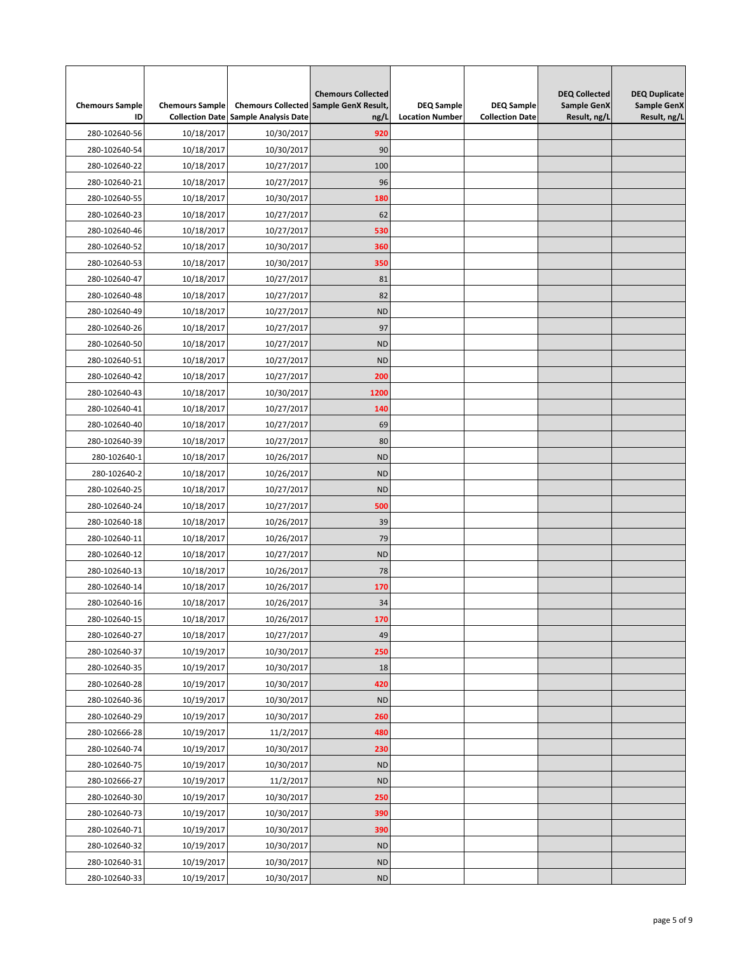| <b>Chemours Sample</b><br>ID | <b>Chemours Sample</b> | <b>Collection Date Sample Analysis Date</b> | <b>Chemours Collected</b><br><b>Chemours Collected Sample GenX Result,</b><br>ng/L | <b>DEQ Sample</b><br><b>Location Number</b> | <b>DEQ Sample</b><br><b>Collection Date</b> | <b>DEQ Collected</b><br><b>Sample GenX</b><br>Result, ng/L | <b>DEQ Duplicate</b><br><b>Sample GenX</b><br>Result, ng/L |
|------------------------------|------------------------|---------------------------------------------|------------------------------------------------------------------------------------|---------------------------------------------|---------------------------------------------|------------------------------------------------------------|------------------------------------------------------------|
| 280-102640-56                | 10/18/2017             | 10/30/2017                                  | 920                                                                                |                                             |                                             |                                                            |                                                            |
| 280-102640-54                | 10/18/2017             | 10/30/2017                                  | 90                                                                                 |                                             |                                             |                                                            |                                                            |
| 280-102640-22                | 10/18/2017             | 10/27/2017                                  | 100                                                                                |                                             |                                             |                                                            |                                                            |
| 280-102640-21                | 10/18/2017             | 10/27/2017                                  | 96                                                                                 |                                             |                                             |                                                            |                                                            |
| 280-102640-55                | 10/18/2017             | 10/30/2017                                  | 180                                                                                |                                             |                                             |                                                            |                                                            |
| 280-102640-23                | 10/18/2017             | 10/27/2017                                  | 62                                                                                 |                                             |                                             |                                                            |                                                            |
| 280-102640-46                | 10/18/2017             | 10/27/2017                                  | 530                                                                                |                                             |                                             |                                                            |                                                            |
| 280-102640-52                | 10/18/2017             | 10/30/2017                                  | 360                                                                                |                                             |                                             |                                                            |                                                            |
| 280-102640-53                | 10/18/2017             | 10/30/2017                                  | 350                                                                                |                                             |                                             |                                                            |                                                            |
| 280-102640-47                | 10/18/2017             | 10/27/2017                                  | 81                                                                                 |                                             |                                             |                                                            |                                                            |
| 280-102640-48                | 10/18/2017             | 10/27/2017                                  | 82                                                                                 |                                             |                                             |                                                            |                                                            |
| 280-102640-49                | 10/18/2017             | 10/27/2017                                  | <b>ND</b>                                                                          |                                             |                                             |                                                            |                                                            |
| 280-102640-26                | 10/18/2017             | 10/27/2017                                  | 97                                                                                 |                                             |                                             |                                                            |                                                            |
| 280-102640-50                | 10/18/2017             | 10/27/2017                                  | <b>ND</b>                                                                          |                                             |                                             |                                                            |                                                            |
| 280-102640-51                | 10/18/2017             | 10/27/2017                                  | <b>ND</b>                                                                          |                                             |                                             |                                                            |                                                            |
|                              | 10/18/2017             | 10/27/2017                                  | 200                                                                                |                                             |                                             |                                                            |                                                            |
| 280-102640-42                |                        |                                             | 1200                                                                               |                                             |                                             |                                                            |                                                            |
| 280-102640-43                | 10/18/2017             | 10/30/2017                                  |                                                                                    |                                             |                                             |                                                            |                                                            |
| 280-102640-41                | 10/18/2017             | 10/27/2017                                  | 140                                                                                |                                             |                                             |                                                            |                                                            |
| 280-102640-40                | 10/18/2017             | 10/27/2017                                  | 69                                                                                 |                                             |                                             |                                                            |                                                            |
| 280-102640-39                | 10/18/2017             | 10/27/2017                                  | 80                                                                                 |                                             |                                             |                                                            |                                                            |
| 280-102640-1                 | 10/18/2017             | 10/26/2017                                  | <b>ND</b>                                                                          |                                             |                                             |                                                            |                                                            |
| 280-102640-2                 | 10/18/2017             | 10/26/2017                                  | <b>ND</b>                                                                          |                                             |                                             |                                                            |                                                            |
| 280-102640-25                | 10/18/2017             | 10/27/2017                                  | <b>ND</b>                                                                          |                                             |                                             |                                                            |                                                            |
| 280-102640-24                | 10/18/2017             | 10/27/2017                                  | 500                                                                                |                                             |                                             |                                                            |                                                            |
| 280-102640-18                | 10/18/2017             | 10/26/2017                                  | 39                                                                                 |                                             |                                             |                                                            |                                                            |
| 280-102640-11                | 10/18/2017             | 10/26/2017                                  | 79                                                                                 |                                             |                                             |                                                            |                                                            |
| 280-102640-12                | 10/18/2017             | 10/27/2017                                  | <b>ND</b>                                                                          |                                             |                                             |                                                            |                                                            |
| 280-102640-13                | 10/18/2017             | 10/26/2017                                  | 78                                                                                 |                                             |                                             |                                                            |                                                            |
| 280-102640-14                | 10/18/2017             | 10/26/2017                                  | 170                                                                                |                                             |                                             |                                                            |                                                            |
| 280-102640-16                | 10/18/2017             | 10/26/2017                                  | 34                                                                                 |                                             |                                             |                                                            |                                                            |
| 280-102640-15                | 10/18/2017             | 10/26/2017                                  | 170                                                                                |                                             |                                             |                                                            |                                                            |
| 280-102640-27                | 10/18/2017             | 10/27/2017                                  | 49                                                                                 |                                             |                                             |                                                            |                                                            |
| 280-102640-37                | 10/19/2017             | 10/30/2017                                  | 250                                                                                |                                             |                                             |                                                            |                                                            |
| 280-102640-35                | 10/19/2017             | 10/30/2017                                  | 18                                                                                 |                                             |                                             |                                                            |                                                            |
| 280-102640-28                | 10/19/2017             | 10/30/2017                                  | 420                                                                                |                                             |                                             |                                                            |                                                            |
| 280-102640-36                | 10/19/2017             | 10/30/2017                                  | <b>ND</b>                                                                          |                                             |                                             |                                                            |                                                            |
| 280-102640-29                | 10/19/2017             | 10/30/2017                                  | 260                                                                                |                                             |                                             |                                                            |                                                            |
| 280-102666-28                | 10/19/2017             | 11/2/2017                                   | 480                                                                                |                                             |                                             |                                                            |                                                            |
| 280-102640-74                | 10/19/2017             | 10/30/2017                                  | 230                                                                                |                                             |                                             |                                                            |                                                            |
| 280-102640-75                | 10/19/2017             | 10/30/2017                                  | <b>ND</b>                                                                          |                                             |                                             |                                                            |                                                            |
| 280-102666-27                | 10/19/2017             | 11/2/2017                                   | <b>ND</b>                                                                          |                                             |                                             |                                                            |                                                            |
| 280-102640-30                | 10/19/2017             | 10/30/2017                                  | 250                                                                                |                                             |                                             |                                                            |                                                            |
| 280-102640-73                | 10/19/2017             | 10/30/2017                                  | 390                                                                                |                                             |                                             |                                                            |                                                            |
| 280-102640-71                | 10/19/2017             | 10/30/2017                                  | 390                                                                                |                                             |                                             |                                                            |                                                            |
| 280-102640-32                | 10/19/2017             | 10/30/2017                                  | <b>ND</b>                                                                          |                                             |                                             |                                                            |                                                            |
| 280-102640-31                | 10/19/2017             | 10/30/2017                                  | <b>ND</b>                                                                          |                                             |                                             |                                                            |                                                            |
| 280-102640-33                | 10/19/2017             | 10/30/2017                                  | <b>ND</b>                                                                          |                                             |                                             |                                                            |                                                            |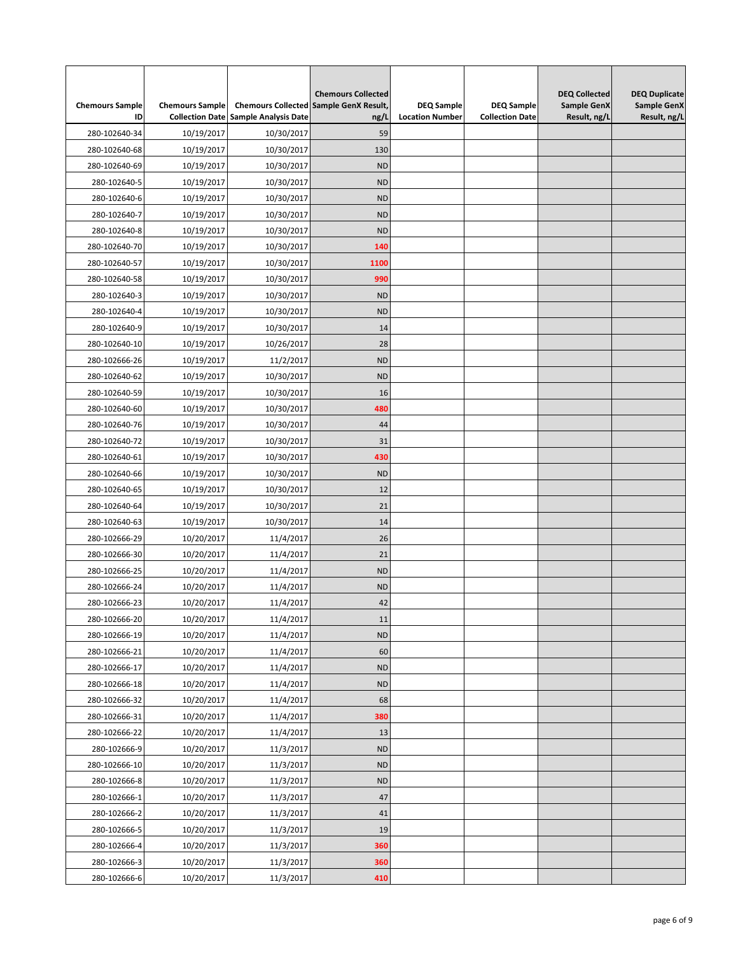| <b>Chemours Sample</b><br>ID | <b>Chemours Sample</b>   | <b>Collection Date Sample Analysis Date</b> | <b>Chemours Collected</b><br><b>Chemours Collected Sample GenX Result,</b><br>ng/L | <b>DEQ Sample</b><br><b>Location Number</b> | <b>DEQ Sample</b><br><b>Collection Date</b> | <b>DEQ Collected</b><br><b>Sample GenX</b><br>Result, ng/L | <b>DEQ Duplicate</b><br><b>Sample GenX</b><br>Result, ng/L |
|------------------------------|--------------------------|---------------------------------------------|------------------------------------------------------------------------------------|---------------------------------------------|---------------------------------------------|------------------------------------------------------------|------------------------------------------------------------|
| 280-102640-34                | 10/19/2017               | 10/30/2017                                  | 59                                                                                 |                                             |                                             |                                                            |                                                            |
| 280-102640-68                | 10/19/2017               | 10/30/2017                                  | 130                                                                                |                                             |                                             |                                                            |                                                            |
| 280-102640-69                | 10/19/2017               | 10/30/2017                                  | <b>ND</b>                                                                          |                                             |                                             |                                                            |                                                            |
| 280-102640-5                 | 10/19/2017               | 10/30/2017                                  | <b>ND</b>                                                                          |                                             |                                             |                                                            |                                                            |
| 280-102640-6                 | 10/19/2017               | 10/30/2017                                  | <b>ND</b>                                                                          |                                             |                                             |                                                            |                                                            |
| 280-102640-7                 | 10/19/2017               | 10/30/2017                                  | <b>ND</b>                                                                          |                                             |                                             |                                                            |                                                            |
| 280-102640-8                 | 10/19/2017               | 10/30/2017                                  | <b>ND</b>                                                                          |                                             |                                             |                                                            |                                                            |
| 280-102640-70                |                          |                                             | 140                                                                                |                                             |                                             |                                                            |                                                            |
| 280-102640-57                | 10/19/2017<br>10/19/2017 | 10/30/2017<br>10/30/2017                    | 1100                                                                               |                                             |                                             |                                                            |                                                            |
| 280-102640-58                | 10/19/2017               | 10/30/2017                                  | 990                                                                                |                                             |                                             |                                                            |                                                            |
|                              |                          |                                             | <b>ND</b>                                                                          |                                             |                                             |                                                            |                                                            |
| 280-102640-3                 | 10/19/2017               | 10/30/2017                                  |                                                                                    |                                             |                                             |                                                            |                                                            |
| 280-102640-4                 | 10/19/2017               | 10/30/2017                                  | <b>ND</b>                                                                          |                                             |                                             |                                                            |                                                            |
| 280-102640-9                 | 10/19/2017               | 10/30/2017                                  | 14                                                                                 |                                             |                                             |                                                            |                                                            |
| 280-102640-10                | 10/19/2017               | 10/26/2017                                  | 28                                                                                 |                                             |                                             |                                                            |                                                            |
| 280-102666-26                | 10/19/2017               | 11/2/2017                                   | <b>ND</b>                                                                          |                                             |                                             |                                                            |                                                            |
| 280-102640-62                | 10/19/2017               | 10/30/2017                                  | <b>ND</b>                                                                          |                                             |                                             |                                                            |                                                            |
| 280-102640-59                | 10/19/2017               | 10/30/2017                                  | 16                                                                                 |                                             |                                             |                                                            |                                                            |
| 280-102640-60                | 10/19/2017               | 10/30/2017                                  | 480                                                                                |                                             |                                             |                                                            |                                                            |
| 280-102640-76                | 10/19/2017               | 10/30/2017                                  | 44                                                                                 |                                             |                                             |                                                            |                                                            |
| 280-102640-72                | 10/19/2017               | 10/30/2017                                  | 31                                                                                 |                                             |                                             |                                                            |                                                            |
| 280-102640-61                | 10/19/2017               | 10/30/2017                                  | 430                                                                                |                                             |                                             |                                                            |                                                            |
| 280-102640-66                | 10/19/2017               | 10/30/2017                                  | <b>ND</b>                                                                          |                                             |                                             |                                                            |                                                            |
| 280-102640-65                | 10/19/2017               | 10/30/2017                                  | 12                                                                                 |                                             |                                             |                                                            |                                                            |
| 280-102640-64                | 10/19/2017               | 10/30/2017                                  | 21                                                                                 |                                             |                                             |                                                            |                                                            |
| 280-102640-63                | 10/19/2017               | 10/30/2017                                  | 14                                                                                 |                                             |                                             |                                                            |                                                            |
| 280-102666-29                | 10/20/2017               | 11/4/2017                                   | 26                                                                                 |                                             |                                             |                                                            |                                                            |
| 280-102666-30                | 10/20/2017               | 11/4/2017                                   | 21                                                                                 |                                             |                                             |                                                            |                                                            |
| 280-102666-25                | 10/20/2017               | 11/4/2017                                   | <b>ND</b>                                                                          |                                             |                                             |                                                            |                                                            |
| 280-102666-24                | 10/20/2017               | 11/4/2017                                   | <b>ND</b>                                                                          |                                             |                                             |                                                            |                                                            |
| 280-102666-23                | 10/20/2017               | 11/4/2017                                   | 42                                                                                 |                                             |                                             |                                                            |                                                            |
| 280-102666-20                | 10/20/2017               | 11/4/2017                                   | 11                                                                                 |                                             |                                             |                                                            |                                                            |
| 280-102666-19                | 10/20/2017               | 11/4/2017                                   | <b>ND</b>                                                                          |                                             |                                             |                                                            |                                                            |
| 280-102666-21                | 10/20/2017               | 11/4/2017                                   | 60                                                                                 |                                             |                                             |                                                            |                                                            |
| 280-102666-17                | 10/20/2017               | 11/4/2017                                   | <b>ND</b>                                                                          |                                             |                                             |                                                            |                                                            |
| 280-102666-18                | 10/20/2017               | 11/4/2017                                   | <b>ND</b>                                                                          |                                             |                                             |                                                            |                                                            |
| 280-102666-32                | 10/20/2017               | 11/4/2017                                   | 68                                                                                 |                                             |                                             |                                                            |                                                            |
| 280-102666-31                | 10/20/2017               | 11/4/2017                                   | 380                                                                                |                                             |                                             |                                                            |                                                            |
| 280-102666-22                | 10/20/2017               | 11/4/2017                                   | 13                                                                                 |                                             |                                             |                                                            |                                                            |
| 280-102666-9                 | 10/20/2017               | 11/3/2017                                   | <b>ND</b>                                                                          |                                             |                                             |                                                            |                                                            |
| 280-102666-10                | 10/20/2017               | 11/3/2017                                   | <b>ND</b>                                                                          |                                             |                                             |                                                            |                                                            |
| 280-102666-8                 | 10/20/2017               | 11/3/2017                                   | <b>ND</b>                                                                          |                                             |                                             |                                                            |                                                            |
| 280-102666-1                 | 10/20/2017               | 11/3/2017                                   | 47                                                                                 |                                             |                                             |                                                            |                                                            |
| 280-102666-2                 | 10/20/2017               | 11/3/2017                                   | 41                                                                                 |                                             |                                             |                                                            |                                                            |
| 280-102666-5                 | 10/20/2017               | 11/3/2017                                   | 19                                                                                 |                                             |                                             |                                                            |                                                            |
| 280-102666-4                 | 10/20/2017               | 11/3/2017                                   | 360                                                                                |                                             |                                             |                                                            |                                                            |
| 280-102666-3                 | 10/20/2017               | 11/3/2017                                   | 360                                                                                |                                             |                                             |                                                            |                                                            |
| 280-102666-6                 | 10/20/2017               | 11/3/2017                                   | 410                                                                                |                                             |                                             |                                                            |                                                            |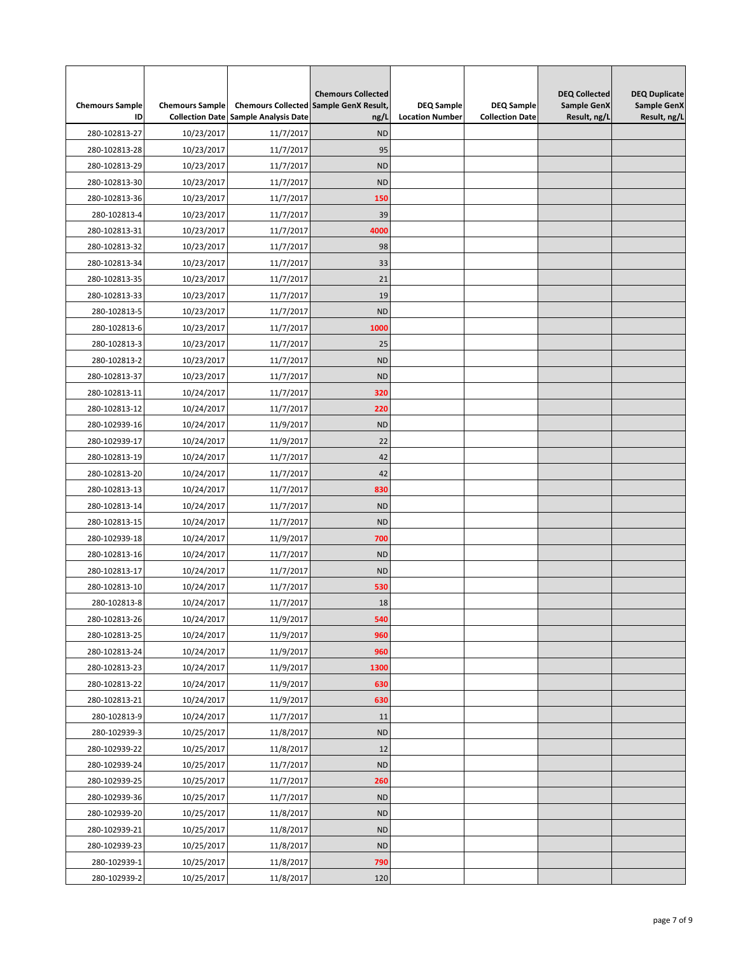| <b>Chemours Sample</b><br>ID | <b>Chemours Sample</b> | <b>Collection Date Sample Analysis Date</b> | <b>Chemours Collected</b><br><b>Chemours Collected Sample GenX Result,</b><br>ng/L | <b>DEQ Sample</b><br><b>Location Number</b> | <b>DEQ Sample</b><br><b>Collection Date</b> | <b>DEQ Collected</b><br>Sample GenX<br>Result, ng/L | <b>DEQ Duplicate</b><br><b>Sample GenX</b><br>Result, ng/L |
|------------------------------|------------------------|---------------------------------------------|------------------------------------------------------------------------------------|---------------------------------------------|---------------------------------------------|-----------------------------------------------------|------------------------------------------------------------|
| 280-102813-27                | 10/23/2017             | 11/7/2017                                   | <b>ND</b>                                                                          |                                             |                                             |                                                     |                                                            |
| 280-102813-28                | 10/23/2017             | 11/7/2017                                   | 95                                                                                 |                                             |                                             |                                                     |                                                            |
| 280-102813-29                | 10/23/2017             | 11/7/2017                                   | <b>ND</b>                                                                          |                                             |                                             |                                                     |                                                            |
| 280-102813-30                | 10/23/2017             | 11/7/2017                                   | <b>ND</b>                                                                          |                                             |                                             |                                                     |                                                            |
| 280-102813-36                | 10/23/2017             | 11/7/2017                                   | 150                                                                                |                                             |                                             |                                                     |                                                            |
| 280-102813-4                 | 10/23/2017             | 11/7/2017                                   | 39                                                                                 |                                             |                                             |                                                     |                                                            |
| 280-102813-31                | 10/23/2017             | 11/7/2017                                   | 4000                                                                               |                                             |                                             |                                                     |                                                            |
| 280-102813-32                | 10/23/2017             | 11/7/2017                                   | 98                                                                                 |                                             |                                             |                                                     |                                                            |
| 280-102813-34                | 10/23/2017             | 11/7/2017                                   | 33                                                                                 |                                             |                                             |                                                     |                                                            |
| 280-102813-35                | 10/23/2017             | 11/7/2017                                   | 21                                                                                 |                                             |                                             |                                                     |                                                            |
| 280-102813-33                | 10/23/2017             | 11/7/2017                                   | 19                                                                                 |                                             |                                             |                                                     |                                                            |
| 280-102813-5                 | 10/23/2017             | 11/7/2017                                   | <b>ND</b>                                                                          |                                             |                                             |                                                     |                                                            |
| 280-102813-6                 | 10/23/2017             | 11/7/2017                                   | 1000                                                                               |                                             |                                             |                                                     |                                                            |
| 280-102813-3                 | 10/23/2017             | 11/7/2017                                   | 25                                                                                 |                                             |                                             |                                                     |                                                            |
| 280-102813-2                 | 10/23/2017             | 11/7/2017                                   | <b>ND</b>                                                                          |                                             |                                             |                                                     |                                                            |
| 280-102813-37                | 10/23/2017             | 11/7/2017                                   | <b>ND</b>                                                                          |                                             |                                             |                                                     |                                                            |
| 280-102813-11                | 10/24/2017             | 11/7/2017                                   | 320                                                                                |                                             |                                             |                                                     |                                                            |
| 280-102813-12                | 10/24/2017             | 11/7/2017                                   | 220                                                                                |                                             |                                             |                                                     |                                                            |
| 280-102939-16                | 10/24/2017             | 11/9/2017                                   | <b>ND</b>                                                                          |                                             |                                             |                                                     |                                                            |
| 280-102939-17                | 10/24/2017             | 11/9/2017                                   | 22                                                                                 |                                             |                                             |                                                     |                                                            |
| 280-102813-19                | 10/24/2017             | 11/7/2017                                   | 42                                                                                 |                                             |                                             |                                                     |                                                            |
| 280-102813-20                | 10/24/2017             | 11/7/2017                                   | 42                                                                                 |                                             |                                             |                                                     |                                                            |
| 280-102813-13                | 10/24/2017             | 11/7/2017                                   | 830                                                                                |                                             |                                             |                                                     |                                                            |
| 280-102813-14                | 10/24/2017             | 11/7/2017                                   | <b>ND</b>                                                                          |                                             |                                             |                                                     |                                                            |
| 280-102813-15                | 10/24/2017             | 11/7/2017                                   | <b>ND</b>                                                                          |                                             |                                             |                                                     |                                                            |
| 280-102939-18                | 10/24/2017             | 11/9/2017                                   | 700                                                                                |                                             |                                             |                                                     |                                                            |
| 280-102813-16                | 10/24/2017             | 11/7/2017                                   | <b>ND</b>                                                                          |                                             |                                             |                                                     |                                                            |
| 280-102813-17                | 10/24/2017             | 11/7/2017                                   | <b>ND</b>                                                                          |                                             |                                             |                                                     |                                                            |
| 280-102813-10                | 10/24/2017             | 11/7/2017                                   | 530                                                                                |                                             |                                             |                                                     |                                                            |
| 280-102813-8                 | 10/24/2017             | 11/7/2017                                   | 18                                                                                 |                                             |                                             |                                                     |                                                            |
| 280-102813-26                |                        |                                             | 540                                                                                |                                             |                                             |                                                     |                                                            |
|                              | 10/24/2017             | 11/9/2017<br>11/9/2017                      |                                                                                    |                                             |                                             |                                                     |                                                            |
| 280-102813-25                | 10/24/2017             |                                             | 960                                                                                |                                             |                                             |                                                     |                                                            |
| 280-102813-24                | 10/24/2017             | 11/9/2017                                   | 960                                                                                |                                             |                                             |                                                     |                                                            |
| 280-102813-23                | 10/24/2017             | 11/9/2017                                   | 1300                                                                               |                                             |                                             |                                                     |                                                            |
| 280-102813-22                | 10/24/2017             | 11/9/2017                                   | 630                                                                                |                                             |                                             |                                                     |                                                            |
| 280-102813-21                | 10/24/2017             | 11/9/2017                                   | 630                                                                                |                                             |                                             |                                                     |                                                            |
| 280-102813-9                 | 10/24/2017             | 11/7/2017                                   | 11                                                                                 |                                             |                                             |                                                     |                                                            |
| 280-102939-3                 | 10/25/2017             | 11/8/2017                                   | <b>ND</b>                                                                          |                                             |                                             |                                                     |                                                            |
| 280-102939-22                | 10/25/2017             | 11/8/2017                                   | 12                                                                                 |                                             |                                             |                                                     |                                                            |
| 280-102939-24                | 10/25/2017             | 11/7/2017                                   | <b>ND</b>                                                                          |                                             |                                             |                                                     |                                                            |
| 280-102939-25                | 10/25/2017             | 11/7/2017                                   | 260                                                                                |                                             |                                             |                                                     |                                                            |
| 280-102939-36                | 10/25/2017             | 11/7/2017                                   | <b>ND</b>                                                                          |                                             |                                             |                                                     |                                                            |
| 280-102939-20                | 10/25/2017             | 11/8/2017                                   | <b>ND</b>                                                                          |                                             |                                             |                                                     |                                                            |
| 280-102939-21                | 10/25/2017             | 11/8/2017                                   | <b>ND</b>                                                                          |                                             |                                             |                                                     |                                                            |
| 280-102939-23                | 10/25/2017             | 11/8/2017                                   | <b>ND</b>                                                                          |                                             |                                             |                                                     |                                                            |
| 280-102939-1                 | 10/25/2017             | 11/8/2017                                   | 790                                                                                |                                             |                                             |                                                     |                                                            |
| 280-102939-2                 | 10/25/2017             | 11/8/2017                                   | 120                                                                                |                                             |                                             |                                                     |                                                            |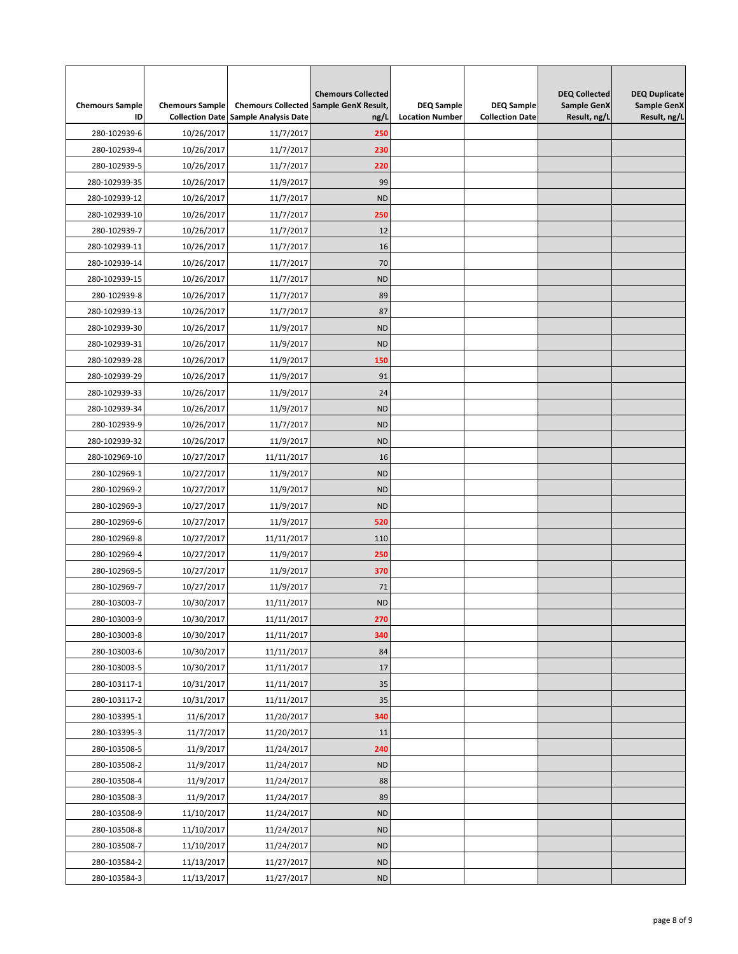| <b>Chemours Sample</b><br>ID | <b>Chemours Sample</b> | <b>Collection Date Sample Analysis Date</b> | <b>Chemours Collected</b><br><b>Chemours Collected Sample GenX Result,</b><br>ng/L | <b>DEQ Sample</b><br><b>Location Number</b> | <b>DEQ Sample</b><br><b>Collection Date</b> | <b>DEQ Collected</b><br><b>Sample GenX</b><br>Result, ng/L | <b>DEQ Duplicate</b><br><b>Sample GenX</b><br>Result, ng/L |
|------------------------------|------------------------|---------------------------------------------|------------------------------------------------------------------------------------|---------------------------------------------|---------------------------------------------|------------------------------------------------------------|------------------------------------------------------------|
| 280-102939-6                 | 10/26/2017             | 11/7/2017                                   | 250                                                                                |                                             |                                             |                                                            |                                                            |
| 280-102939-4                 | 10/26/2017             | 11/7/2017                                   | 230                                                                                |                                             |                                             |                                                            |                                                            |
| 280-102939-5                 | 10/26/2017             | 11/7/2017                                   | 220                                                                                |                                             |                                             |                                                            |                                                            |
| 280-102939-35                | 10/26/2017             | 11/9/2017                                   | 99                                                                                 |                                             |                                             |                                                            |                                                            |
| 280-102939-12                | 10/26/2017             | 11/7/2017                                   | <b>ND</b>                                                                          |                                             |                                             |                                                            |                                                            |
|                              |                        |                                             |                                                                                    |                                             |                                             |                                                            |                                                            |
| 280-102939-10                | 10/26/2017             | 11/7/2017                                   | 250                                                                                |                                             |                                             |                                                            |                                                            |
| 280-102939-7                 | 10/26/2017             | 11/7/2017                                   | 12                                                                                 |                                             |                                             |                                                            |                                                            |
| 280-102939-11                | 10/26/2017             | 11/7/2017                                   | 16                                                                                 |                                             |                                             |                                                            |                                                            |
| 280-102939-14                | 10/26/2017             | 11/7/2017                                   | 70                                                                                 |                                             |                                             |                                                            |                                                            |
| 280-102939-15                | 10/26/2017             | 11/7/2017                                   | <b>ND</b>                                                                          |                                             |                                             |                                                            |                                                            |
| 280-102939-8                 | 10/26/2017             | 11/7/2017                                   | 89                                                                                 |                                             |                                             |                                                            |                                                            |
| 280-102939-13                | 10/26/2017             | 11/7/2017                                   | 87                                                                                 |                                             |                                             |                                                            |                                                            |
| 280-102939-30                | 10/26/2017             | 11/9/2017                                   | <b>ND</b>                                                                          |                                             |                                             |                                                            |                                                            |
| 280-102939-31                | 10/26/2017             | 11/9/2017                                   | <b>ND</b>                                                                          |                                             |                                             |                                                            |                                                            |
| 280-102939-28                | 10/26/2017             | 11/9/2017                                   | 150                                                                                |                                             |                                             |                                                            |                                                            |
| 280-102939-29                | 10/26/2017             | 11/9/2017                                   | 91                                                                                 |                                             |                                             |                                                            |                                                            |
| 280-102939-33                | 10/26/2017             | 11/9/2017                                   | 24                                                                                 |                                             |                                             |                                                            |                                                            |
| 280-102939-34                | 10/26/2017             | 11/9/2017                                   | <b>ND</b>                                                                          |                                             |                                             |                                                            |                                                            |
| 280-102939-9                 | 10/26/2017             | 11/7/2017                                   | <b>ND</b>                                                                          |                                             |                                             |                                                            |                                                            |
| 280-102939-32                | 10/26/2017             | 11/9/2017                                   | <b>ND</b>                                                                          |                                             |                                             |                                                            |                                                            |
| 280-102969-10                | 10/27/2017             | 11/11/2017                                  | 16                                                                                 |                                             |                                             |                                                            |                                                            |
| 280-102969-1                 | 10/27/2017             | 11/9/2017                                   | <b>ND</b>                                                                          |                                             |                                             |                                                            |                                                            |
| 280-102969-2                 | 10/27/2017             | 11/9/2017                                   | <b>ND</b>                                                                          |                                             |                                             |                                                            |                                                            |
| 280-102969-3                 | 10/27/2017             | 11/9/2017                                   | <b>ND</b>                                                                          |                                             |                                             |                                                            |                                                            |
| 280-102969-6                 | 10/27/2017             | 11/9/2017                                   | 520                                                                                |                                             |                                             |                                                            |                                                            |
| 280-102969-8                 | 10/27/2017             | 11/11/2017                                  | 110                                                                                |                                             |                                             |                                                            |                                                            |
| 280-102969-4                 | 10/27/2017             | 11/9/2017                                   | 250                                                                                |                                             |                                             |                                                            |                                                            |
| 280-102969-5                 | 10/27/2017             | 11/9/2017                                   | 370                                                                                |                                             |                                             |                                                            |                                                            |
| 280-102969-7                 | 10/27/2017             | 11/9/2017                                   | 71                                                                                 |                                             |                                             |                                                            |                                                            |
| 280-103003-7                 | 10/30/2017             | 11/11/2017                                  | <b>ND</b>                                                                          |                                             |                                             |                                                            |                                                            |
| 280-103003-9                 | 10/30/2017             | 11/11/2017                                  | 270                                                                                |                                             |                                             |                                                            |                                                            |
| 280-103003-8                 | 10/30/2017             | 11/11/2017                                  | 340                                                                                |                                             |                                             |                                                            |                                                            |
| 280-103003-6                 | 10/30/2017             | 11/11/2017                                  | 84                                                                                 |                                             |                                             |                                                            |                                                            |
| 280-103003-5                 | 10/30/2017             | 11/11/2017                                  | 17                                                                                 |                                             |                                             |                                                            |                                                            |
| 280-103117-1                 | 10/31/2017             | 11/11/2017                                  | 35                                                                                 |                                             |                                             |                                                            |                                                            |
| 280-103117-2                 | 10/31/2017             | 11/11/2017                                  | 35                                                                                 |                                             |                                             |                                                            |                                                            |
| 280-103395-1                 | 11/6/2017              | 11/20/2017                                  | 340                                                                                |                                             |                                             |                                                            |                                                            |
| 280-103395-3                 | 11/7/2017              | 11/20/2017                                  | 11                                                                                 |                                             |                                             |                                                            |                                                            |
| 280-103508-5                 | 11/9/2017              | 11/24/2017                                  | 240                                                                                |                                             |                                             |                                                            |                                                            |
| 280-103508-2                 | 11/9/2017              | 11/24/2017                                  | <b>ND</b>                                                                          |                                             |                                             |                                                            |                                                            |
| 280-103508-4                 | 11/9/2017              | 11/24/2017                                  | 88                                                                                 |                                             |                                             |                                                            |                                                            |
| 280-103508-3                 | 11/9/2017              | 11/24/2017                                  | 89                                                                                 |                                             |                                             |                                                            |                                                            |
| 280-103508-9                 | 11/10/2017             | 11/24/2017                                  | <b>ND</b>                                                                          |                                             |                                             |                                                            |                                                            |
| 280-103508-8                 | 11/10/2017             | 11/24/2017                                  | <b>ND</b>                                                                          |                                             |                                             |                                                            |                                                            |
| 280-103508-7                 | 11/10/2017             | 11/24/2017                                  | <b>ND</b>                                                                          |                                             |                                             |                                                            |                                                            |
| 280-103584-2                 | 11/13/2017             | 11/27/2017                                  | ND                                                                                 |                                             |                                             |                                                            |                                                            |
| 280-103584-3                 | 11/13/2017             | 11/27/2017                                  | ND                                                                                 |                                             |                                             |                                                            |                                                            |